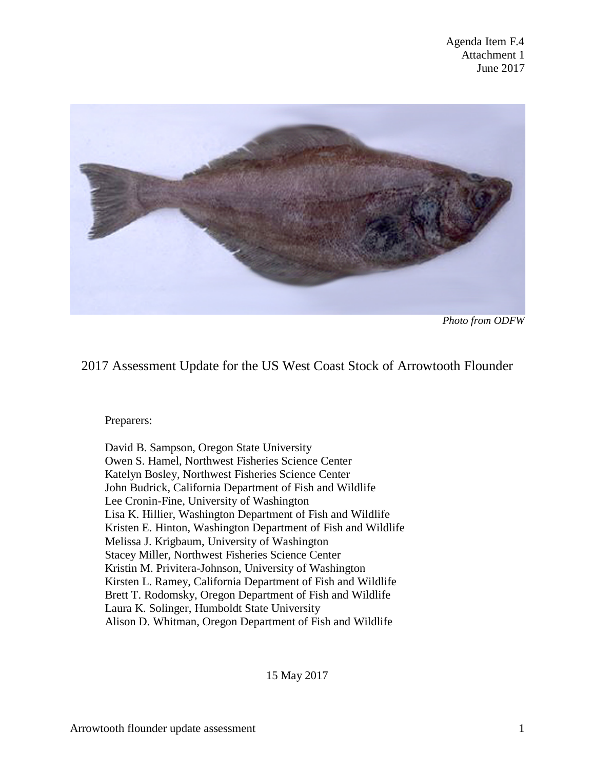

*Photo from ODFW*

# 2017 Assessment Update for the US West Coast Stock of Arrowtooth Flounder

Preparers:

David B. Sampson, Oregon State University Owen S. Hamel, Northwest Fisheries Science Center Katelyn Bosley, Northwest Fisheries Science Center John Budrick, California Department of Fish and Wildlife Lee Cronin-Fine, University of Washington Lisa K. Hillier, Washington Department of Fish and Wildlife Kristen E. Hinton, Washington Department of Fish and Wildlife Melissa J. Krigbaum, University of Washington Stacey Miller, Northwest Fisheries Science Center Kristin M. Privitera-Johnson, University of Washington Kirsten L. Ramey, California Department of Fish and Wildlife Brett T. Rodomsky, Oregon Department of Fish and Wildlife Laura K. Solinger, Humboldt State University Alison D. Whitman, Oregon Department of Fish and Wildlife

15 May 2017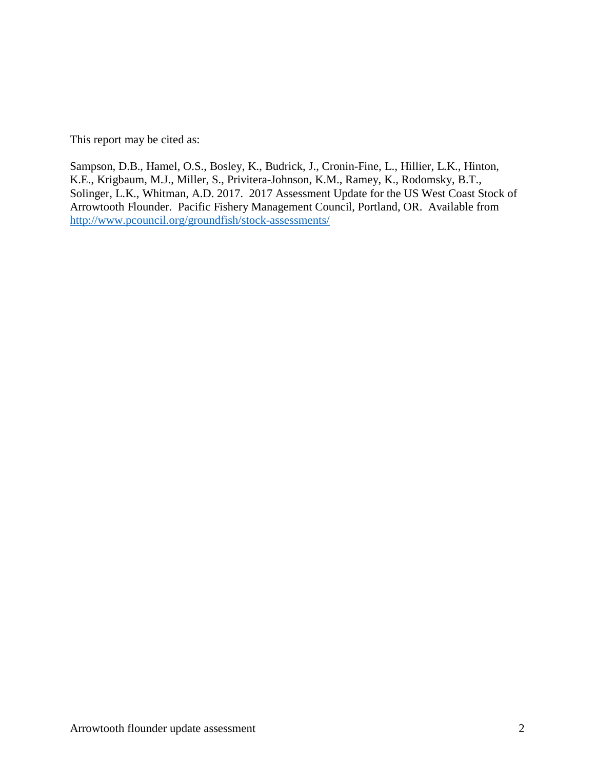This report may be cited as:

Sampson, D.B., Hamel, O.S., Bosley, K., Budrick, J., Cronin-Fine, L., Hillier, L.K., Hinton, K.E., Krigbaum, M.J., Miller, S., Privitera-Johnson, K.M., Ramey, K., Rodomsky, B.T., Solinger, L.K., Whitman, A.D. 2017. 2017 Assessment Update for the US West Coast Stock of Arrowtooth Flounder. Pacific Fishery Management Council, Portland, OR. Available from <http://www.pcouncil.org/groundfish/stock-assessments/>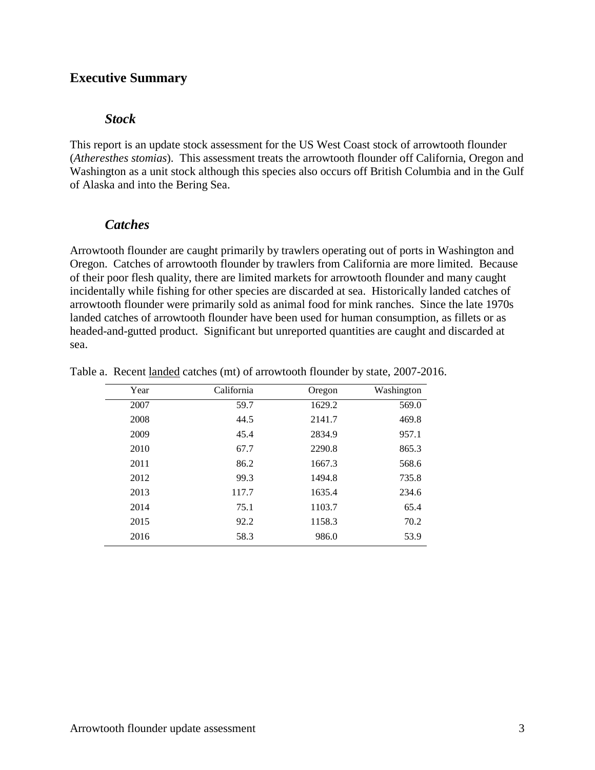### **Executive Summary**

### *Stock*

This report is an update stock assessment for the US West Coast stock of arrowtooth flounder (*Atheresthes stomias*). This assessment treats the arrowtooth flounder off California, Oregon and Washington as a unit stock although this species also occurs off British Columbia and in the Gulf of Alaska and into the Bering Sea.

### *Catches*

Arrowtooth flounder are caught primarily by trawlers operating out of ports in Washington and Oregon. Catches of arrowtooth flounder by trawlers from California are more limited. Because of their poor flesh quality, there are limited markets for arrowtooth flounder and many caught incidentally while fishing for other species are discarded at sea. Historically landed catches of arrowtooth flounder were primarily sold as animal food for mink ranches. Since the late 1970s landed catches of arrowtooth flounder have been used for human consumption, as fillets or as headed-and-gutted product. Significant but unreported quantities are caught and discarded at sea.

| Year | California | Oregon | Washington |
|------|------------|--------|------------|
| 2007 | 59.7       | 1629.2 | 569.0      |
| 2008 | 44.5       | 2141.7 | 469.8      |
| 2009 | 45.4       | 2834.9 | 957.1      |
| 2010 | 67.7       | 2290.8 | 865.3      |
| 2011 | 86.2       | 1667.3 | 568.6      |
| 2012 | 99.3       | 1494.8 | 735.8      |
| 2013 | 117.7      | 1635.4 | 234.6      |
| 2014 | 75.1       | 1103.7 | 65.4       |
| 2015 | 92.2       | 1158.3 | 70.2       |
| 2016 | 58.3       | 986.0  | 53.9       |

Table a. Recent landed catches (mt) of arrowtooth flounder by state, 2007-2016.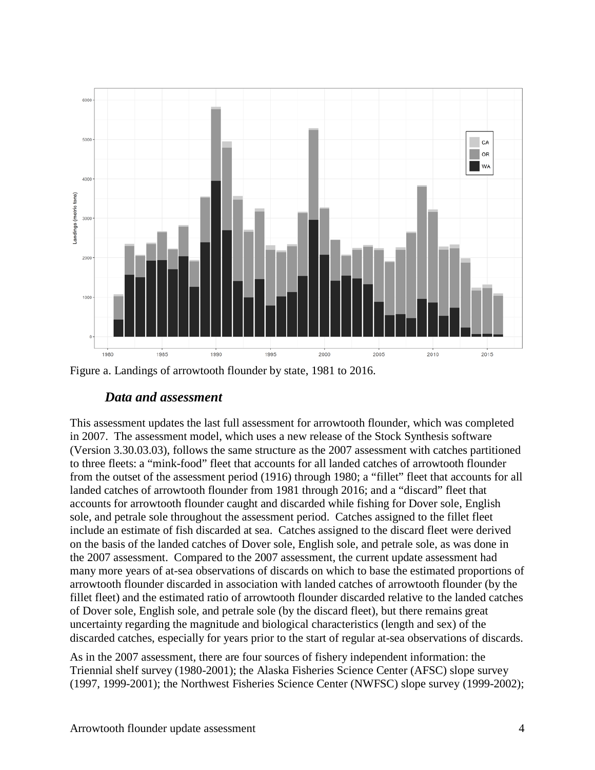

Figure a. Landings of arrowtooth flounder by state, 1981 to 2016.

### *Data and assessment*

This assessment updates the last full assessment for arrowtooth flounder, which was completed in 2007. The assessment model, which uses a new release of the Stock Synthesis software (Version 3.30.03.03), follows the same structure as the 2007 assessment with catches partitioned to three fleets: a "mink-food" fleet that accounts for all landed catches of arrowtooth flounder from the outset of the assessment period (1916) through 1980; a "fillet" fleet that accounts for all landed catches of arrowtooth flounder from 1981 through 2016; and a "discard" fleet that accounts for arrowtooth flounder caught and discarded while fishing for Dover sole, English sole, and petrale sole throughout the assessment period. Catches assigned to the fillet fleet include an estimate of fish discarded at sea. Catches assigned to the discard fleet were derived on the basis of the landed catches of Dover sole, English sole, and petrale sole, as was done in the 2007 assessment. Compared to the 2007 assessment, the current update assessment had many more years of at-sea observations of discards on which to base the estimated proportions of arrowtooth flounder discarded in association with landed catches of arrowtooth flounder (by the fillet fleet) and the estimated ratio of arrowtooth flounder discarded relative to the landed catches of Dover sole, English sole, and petrale sole (by the discard fleet), but there remains great uncertainty regarding the magnitude and biological characteristics (length and sex) of the discarded catches, especially for years prior to the start of regular at-sea observations of discards.

As in the 2007 assessment, there are four sources of fishery independent information: the Triennial shelf survey (1980-2001); the Alaska Fisheries Science Center (AFSC) slope survey (1997, 1999-2001); the Northwest Fisheries Science Center (NWFSC) slope survey (1999-2002);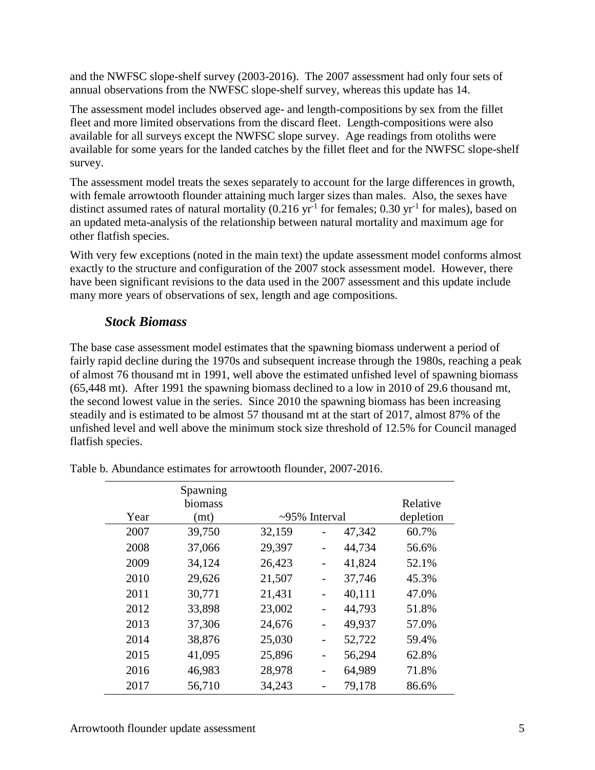and the NWFSC slope-shelf survey (2003-2016). The 2007 assessment had only four sets of annual observations from the NWFSC slope-shelf survey, whereas this update has 14.

The assessment model includes observed age- and length-compositions by sex from the fillet fleet and more limited observations from the discard fleet. Length-compositions were also available for all surveys except the NWFSC slope survey. Age readings from otoliths were available for some years for the landed catches by the fillet fleet and for the NWFSC slope-shelf survey.

The assessment model treats the sexes separately to account for the large differences in growth, with female arrowtooth flounder attaining much larger sizes than males. Also, the sexes have distinct assumed rates of natural mortality (0.216 yr<sup>-1</sup> for females; 0.30 yr<sup>-1</sup> for males), based on an updated meta-analysis of the relationship between natural mortality and maximum age for other flatfish species.

With very few exceptions (noted in the main text) the update assessment model conforms almost exactly to the structure and configuration of the 2007 stock assessment model. However, there have been significant revisions to the data used in the 2007 assessment and this update include many more years of observations of sex, length and age compositions.

## *Stock Biomass*

The base case assessment model estimates that the spawning biomass underwent a period of fairly rapid decline during the 1970s and subsequent increase through the 1980s, reaching a peak of almost 76 thousand mt in 1991, well above the estimated unfished level of spawning biomass (65,448 mt). After 1991 the spawning biomass declined to a low in 2010 of 29.6 thousand mt, the second lowest value in the series. Since 2010 the spawning biomass has been increasing steadily and is estimated to be almost 57 thousand mt at the start of 2017, almost 87% of the unfished level and well above the minimum stock size threshold of 12.5% for Council managed flatfish species.

| Year | Spawning<br>biomass |        | $\sim$ 95% Interval      |        | Relative  |
|------|---------------------|--------|--------------------------|--------|-----------|
|      | (mt)                |        |                          |        | depletion |
| 2007 | 39,750              | 32,159 | -                        | 47,342 | 60.7%     |
| 2008 | 37,066              | 29,397 |                          | 44,734 | 56.6%     |
| 2009 | 34,124              | 26,423 |                          | 41,824 | 52.1%     |
| 2010 | 29,626              | 21,507 | $\overline{\phantom{0}}$ | 37,746 | 45.3%     |
| 2011 | 30,771              | 21,431 | -                        | 40,111 | 47.0%     |
| 2012 | 33,898              | 23,002 |                          | 44,793 | 51.8%     |
| 2013 | 37,306              | 24,676 |                          | 49,937 | 57.0%     |
| 2014 | 38,876              | 25,030 | -                        | 52,722 | 59.4%     |
| 2015 | 41,095              | 25,896 |                          | 56,294 | 62.8%     |
| 2016 | 46,983              | 28,978 |                          | 64,989 | 71.8%     |
| 2017 | 56,710              | 34,243 |                          | 79,178 | 86.6%     |

Table b. Abundance estimates for arrowtooth flounder, 2007-2016.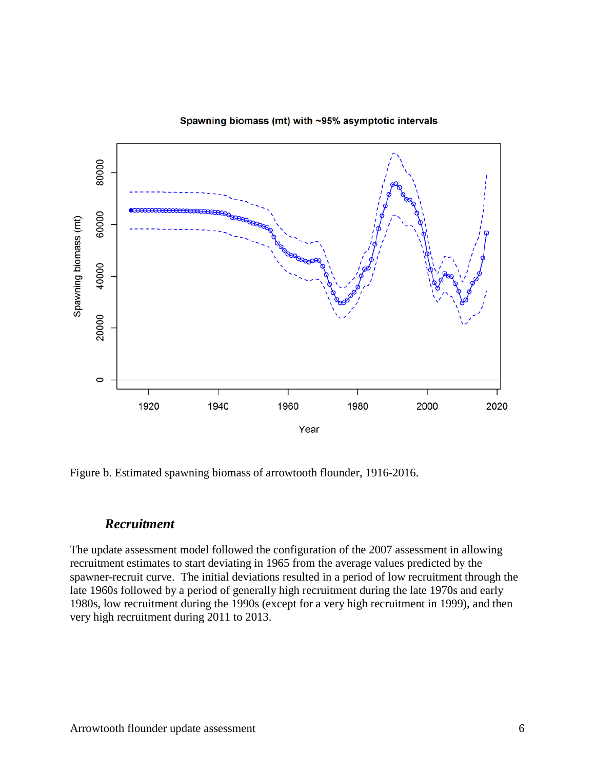

Spawning biomass (mt) with ~95% asymptotic intervals

Figure b. Estimated spawning biomass of arrowtooth flounder, 1916-2016.

### *Recruitment*

The update assessment model followed the configuration of the 2007 assessment in allowing recruitment estimates to start deviating in 1965 from the average values predicted by the spawner-recruit curve. The initial deviations resulted in a period of low recruitment through the late 1960s followed by a period of generally high recruitment during the late 1970s and early 1980s, low recruitment during the 1990s (except for a very high recruitment in 1999), and then very high recruitment during 2011 to 2013.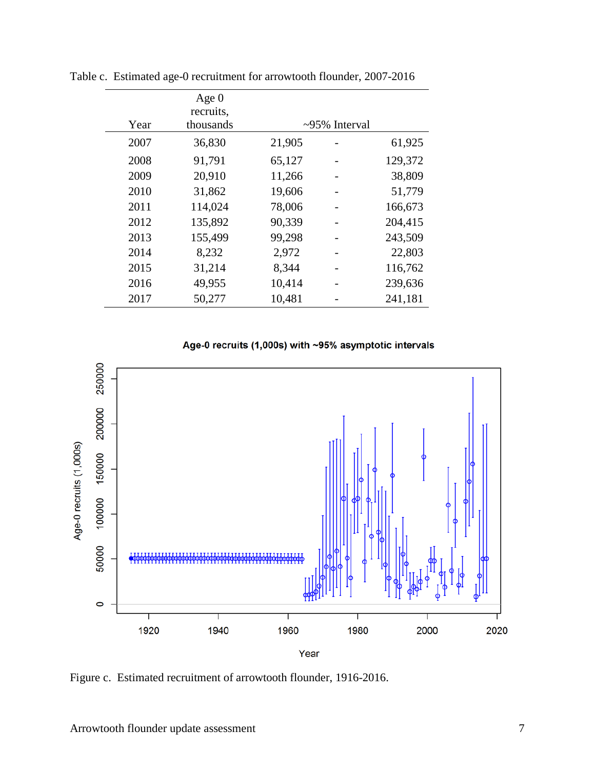|      | Age $0$<br>recruits, |        |               |         |
|------|----------------------|--------|---------------|---------|
| Year | thousands            |        | ~95% Interval |         |
| 2007 | 36,830               | 21,905 |               | 61,925  |
| 2008 | 91,791               | 65,127 |               | 129,372 |
| 2009 | 20,910               | 11,266 |               | 38,809  |
| 2010 | 31,862               | 19,606 |               | 51,779  |
| 2011 | 114,024              | 78,006 |               | 166,673 |
| 2012 | 135,892              | 90,339 |               | 204,415 |
| 2013 | 155,499              | 99,298 |               | 243,509 |
| 2014 | 8,232                | 2,972  |               | 22,803  |
| 2015 | 31,214               | 8,344  |               | 116,762 |
| 2016 | 49,955               | 10,414 |               | 239,636 |
| 2017 | 50,277               | 10,481 |               | 241,181 |

Table c. Estimated age-0 recruitment for arrowtooth flounder, 2007-2016

Age-0 recruits (1,000s) with ~95% asymptotic intervals



Figure c. Estimated recruitment of arrowtooth flounder, 1916-2016.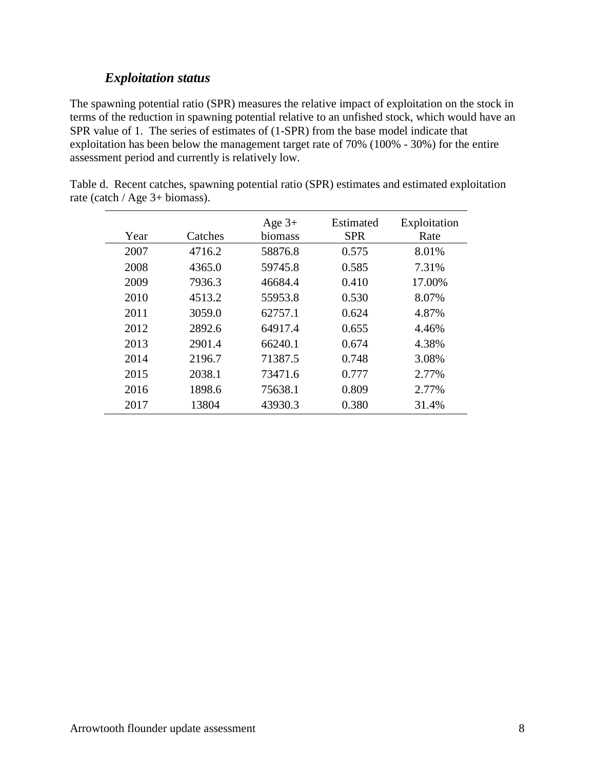## *Exploitation status*

The spawning potential ratio (SPR) measures the relative impact of exploitation on the stock in terms of the reduction in spawning potential relative to an unfished stock, which would have an SPR value of 1. The series of estimates of (1-SPR) from the base model indicate that exploitation has been below the management target rate of 70% (100% - 30%) for the entire assessment period and currently is relatively low.

| Year | Catches | Age $3+$<br>biomass | Estimated<br><b>SPR</b> | Exploitation<br>Rate |
|------|---------|---------------------|-------------------------|----------------------|
|      |         |                     |                         |                      |
| 2007 | 4716.2  | 58876.8             | 0.575                   | 8.01%                |
| 2008 | 4365.0  | 59745.8             | 0.585                   | 7.31%                |
| 2009 | 7936.3  | 46684.4             | 0.410                   | 17.00%               |
| 2010 | 4513.2  | 55953.8             | 0.530                   | 8.07%                |
| 2011 | 3059.0  | 62757.1             | 0.624                   | 4.87%                |
| 2012 | 2892.6  | 64917.4             | 0.655                   | 4.46%                |
| 2013 | 2901.4  | 66240.1             | 0.674                   | 4.38%                |
| 2014 | 2196.7  | 71387.5             | 0.748                   | 3.08%                |
| 2015 | 2038.1  | 73471.6             | 0.777                   | 2.77%                |
| 2016 | 1898.6  | 75638.1             | 0.809                   | 2.77%                |
| 2017 | 13804   | 43930.3             | 0.380                   | 31.4%                |
|      |         |                     |                         |                      |

Table d. Recent catches, spawning potential ratio (SPR) estimates and estimated exploitation rate (catch / Age 3+ biomass).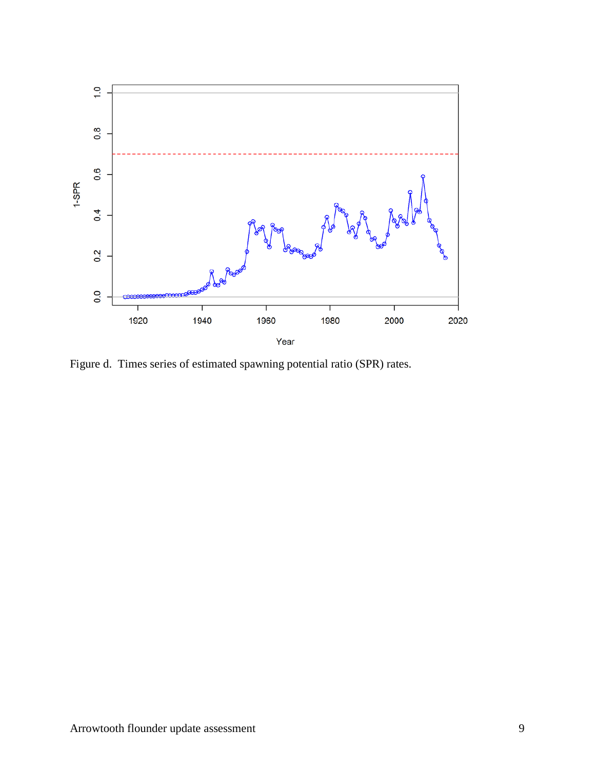

Figure d. Times series of estimated spawning potential ratio (SPR) rates.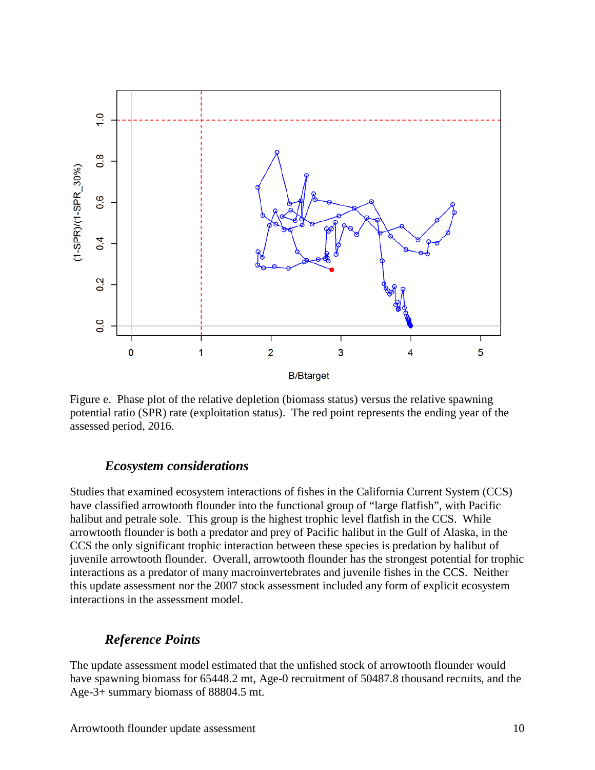

Figure e. Phase plot of the relative depletion (biomass status) versus the relative spawning potential ratio (SPR) rate (exploitation status). The red point represents the ending year of the assessed period, 2016.

### *Ecosystem considerations*

Studies that examined ecosystem interactions of fishes in the California Current System (CCS) have classified arrowtooth flounder into the functional group of "large flatfish", with Pacific halibut and petrale sole. This group is the highest trophic level flatfish in the CCS. While arrowtooth flounder is both a predator and prey of Pacific halibut in the Gulf of Alaska, in the CCS the only significant trophic interaction between these species is predation by halibut of juvenile arrowtooth flounder. Overall, arrowtooth flounder has the strongest potential for trophic interactions as a predator of many macroinvertebrates and juvenile fishes in the CCS. Neither this update assessment nor the 2007 stock assessment included any form of explicit ecosystem interactions in the assessment model.

### *Reference Points*

The update assessment model estimated that the unfished stock of arrowtooth flounder would have spawning biomass for 65448.2 mt, Age-0 recruitment of 50487.8 thousand recruits, and the Age-3+ summary biomass of 88804.5 mt.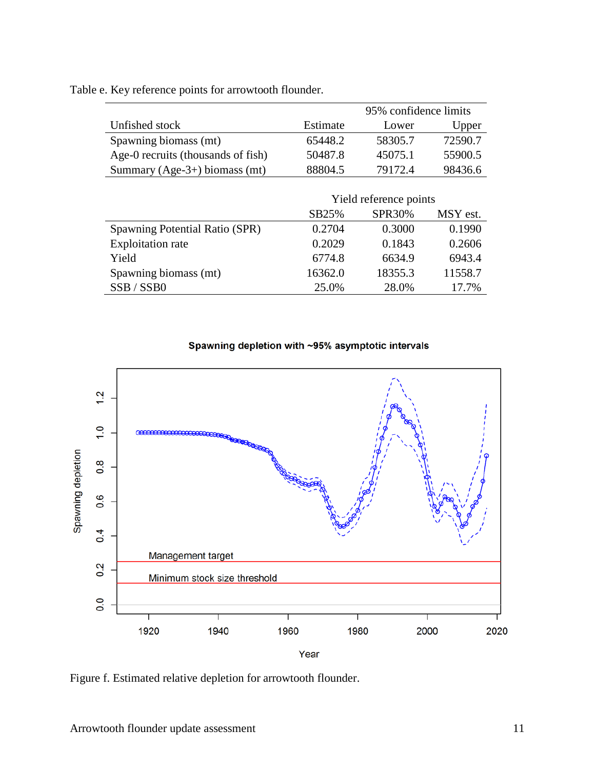|                                    |          | 95% confidence limits |         |  |
|------------------------------------|----------|-----------------------|---------|--|
| Unfished stock                     | Estimate | Lower                 | Upper   |  |
| Spawning biomass (mt)              | 65448.2  | 58305.7               | 72590.7 |  |
| Age-0 recruits (thousands of fish) | 50487.8  | 45075.1               | 55900.5 |  |
| Summary (Age-3+) biomass (mt)      | 88804.5  | 79172.4               | 98436.6 |  |

Table e. Key reference points for arrowtooth flounder.

|                                | Yield reference points |               |          |  |  |
|--------------------------------|------------------------|---------------|----------|--|--|
|                                | SB25%                  | <b>SPR30%</b> | MSY est. |  |  |
| Spawning Potential Ratio (SPR) | 0.2704                 | 0.3000        | 0.1990   |  |  |
| <b>Exploitation</b> rate       | 0.2029                 | 0.1843        | 0.2606   |  |  |
| Yield                          | 6774.8                 | 6634.9        | 6943.4   |  |  |
| Spawning biomass (mt)          | 16362.0                | 18355.3       | 11558.7  |  |  |
| SSB/SSB0                       | 25.0%                  | 28.0%         | 17.7%    |  |  |

#### Spawning depletion with ~95% asymptotic intervals



Figure f. Estimated relative depletion for arrowtooth flounder.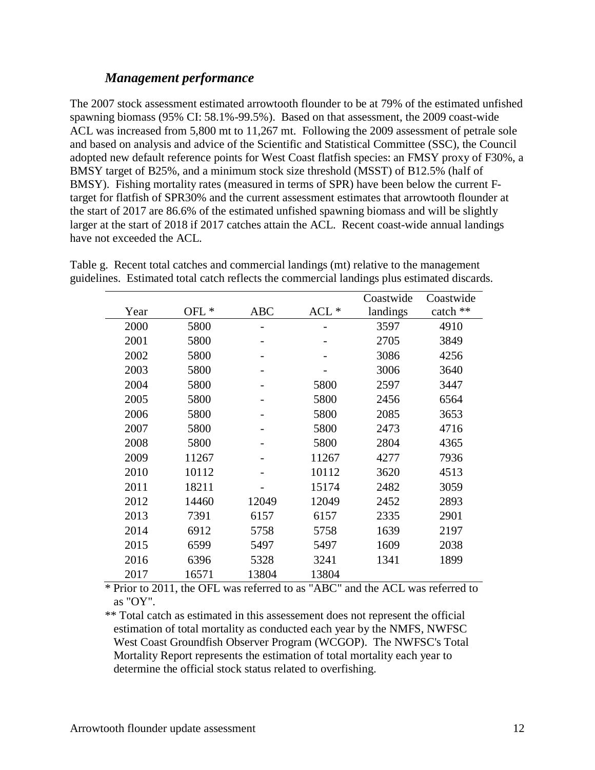### *Management performance*

The 2007 stock assessment estimated arrowtooth flounder to be at 79% of the estimated unfished spawning biomass (95% CI: 58.1%-99.5%). Based on that assessment, the 2009 coast-wide ACL was increased from 5,800 mt to 11,267 mt. Following the 2009 assessment of petrale sole and based on analysis and advice of the Scientific and Statistical Committee (SSC), the Council adopted new default reference points for West Coast flatfish species: an FMSY proxy of F30%, a BMSY target of B25%, and a minimum stock size threshold (MSST) of B12.5% (half of BMSY). Fishing mortality rates (measured in terms of SPR) have been below the current Ftarget for flatfish of SPR30% and the current assessment estimates that arrowtooth flounder at the start of 2017 are 86.6% of the estimated unfished spawning biomass and will be slightly larger at the start of 2018 if 2017 catches attain the ACL. Recent coast-wide annual landings have not exceeded the ACL.

Table g. Recent total catches and commercial landings (mt) relative to the management guidelines. Estimated total catch reflects the commercial landings plus estimated discards.

|      |                  |            |        | Coastwide | Coastwide |
|------|------------------|------------|--------|-----------|-----------|
| Year | OFL <sup>*</sup> | <b>ABC</b> | $ACL*$ | landings  | catch **  |
| 2000 | 5800             |            |        | 3597      | 4910      |
| 2001 | 5800             |            |        | 2705      | 3849      |
| 2002 | 5800             |            |        | 3086      | 4256      |
| 2003 | 5800             |            |        | 3006      | 3640      |
| 2004 | 5800             |            | 5800   | 2597      | 3447      |
| 2005 | 5800             |            | 5800   | 2456      | 6564      |
| 2006 | 5800             |            | 5800   | 2085      | 3653      |
| 2007 | 5800             |            | 5800   | 2473      | 4716      |
| 2008 | 5800             |            | 5800   | 2804      | 4365      |
| 2009 | 11267            |            | 11267  | 4277      | 7936      |
| 2010 | 10112            |            | 10112  | 3620      | 4513      |
| 2011 | 18211            |            | 15174  | 2482      | 3059      |
| 2012 | 14460            | 12049      | 12049  | 2452      | 2893      |
| 2013 | 7391             | 6157       | 6157   | 2335      | 2901      |
| 2014 | 6912             | 5758       | 5758   | 1639      | 2197      |
| 2015 | 6599             | 5497       | 5497   | 1609      | 2038      |
| 2016 | 6396             | 5328       | 3241   | 1341      | 1899      |
| 2017 | 16571            | 13804      | 13804  |           |           |

\* Prior to 2011, the OFL was referred to as "ABC" and the ACL was referred to as "OY".

\*\* Total catch as estimated in this assessement does not represent the official estimation of total mortality as conducted each year by the NMFS, NWFSC West Coast Groundfish Observer Program (WCGOP). The NWFSC's Total Mortality Report represents the estimation of total mortality each year to determine the official stock status related to overfishing.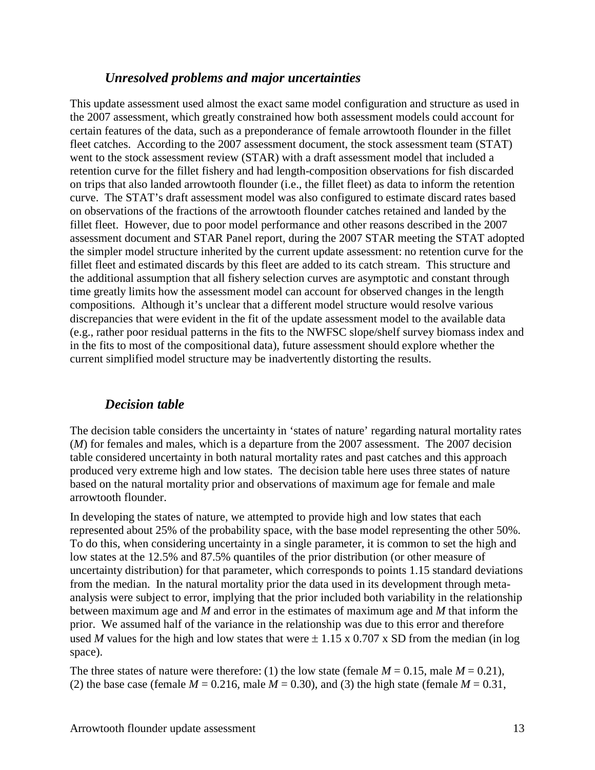### *Unresolved problems and major uncertainties*

This update assessment used almost the exact same model configuration and structure as used in the 2007 assessment, which greatly constrained how both assessment models could account for certain features of the data, such as a preponderance of female arrowtooth flounder in the fillet fleet catches. According to the 2007 assessment document, the stock assessment team (STAT) went to the stock assessment review (STAR) with a draft assessment model that included a retention curve for the fillet fishery and had length-composition observations for fish discarded on trips that also landed arrowtooth flounder (i.e., the fillet fleet) as data to inform the retention curve. The STAT's draft assessment model was also configured to estimate discard rates based on observations of the fractions of the arrowtooth flounder catches retained and landed by the fillet fleet. However, due to poor model performance and other reasons described in the 2007 assessment document and STAR Panel report, during the 2007 STAR meeting the STAT adopted the simpler model structure inherited by the current update assessment: no retention curve for the fillet fleet and estimated discards by this fleet are added to its catch stream. This structure and the additional assumption that all fishery selection curves are asymptotic and constant through time greatly limits how the assessment model can account for observed changes in the length compositions. Although it's unclear that a different model structure would resolve various discrepancies that were evident in the fit of the update assessment model to the available data (e.g., rather poor residual patterns in the fits to the NWFSC slope/shelf survey biomass index and in the fits to most of the compositional data), future assessment should explore whether the current simplified model structure may be inadvertently distorting the results.

### *Decision table*

The decision table considers the uncertainty in 'states of nature' regarding natural mortality rates (*M*) for females and males, which is a departure from the 2007 assessment. The 2007 decision table considered uncertainty in both natural mortality rates and past catches and this approach produced very extreme high and low states. The decision table here uses three states of nature based on the natural mortality prior and observations of maximum age for female and male arrowtooth flounder.

In developing the states of nature, we attempted to provide high and low states that each represented about 25% of the probability space, with the base model representing the other 50%. To do this, when considering uncertainty in a single parameter, it is common to set the high and low states at the 12.5% and 87.5% quantiles of the prior distribution (or other measure of uncertainty distribution) for that parameter, which corresponds to points 1.15 standard deviations from the median. In the natural mortality prior the data used in its development through metaanalysis were subject to error, implying that the prior included both variability in the relationship between maximum age and *M* and error in the estimates of maximum age and *M* that inform the prior. We assumed half of the variance in the relationship was due to this error and therefore used *M* values for the high and low states that were  $\pm$  1.15 x 0.707 x SD from the median (in log space).

The three states of nature were therefore: (1) the low state (female  $M = 0.15$ , male  $M = 0.21$ ), (2) the base case (female  $M = 0.216$ , male  $M = 0.30$ ), and (3) the high state (female  $M = 0.31$ ,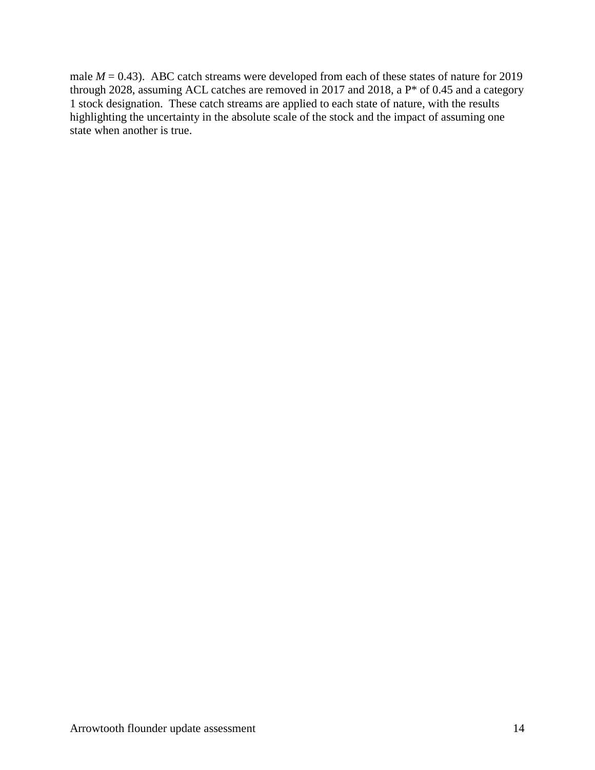male  $M = 0.43$ ). ABC catch streams were developed from each of these states of nature for 2019 through 2028, assuming ACL catches are removed in 2017 and 2018, a P\* of 0.45 and a category 1 stock designation. These catch streams are applied to each state of nature, with the results highlighting the uncertainty in the absolute scale of the stock and the impact of assuming one state when another is true.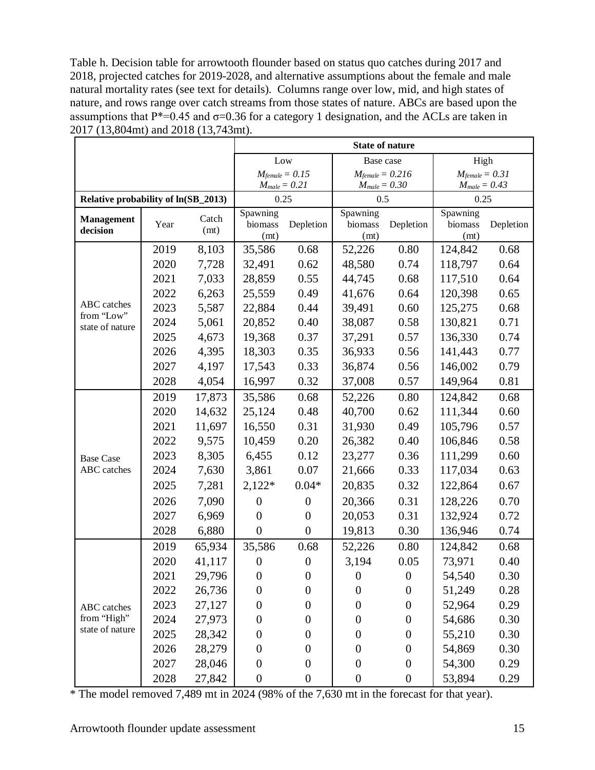Table h. Decision table for arrowtooth flounder based on status quo catches during 2017 and 2018, projected catches for 2019-2028, and alternative assumptions about the female and male natural mortality rates (see text for details). Columns range over low, mid, and high states of nature, and rows range over catch streams from those states of nature. ABCs are based upon the assumptions that  $P^*=0.45$  and  $\sigma=0.36$  for a category 1 designation, and the ACLs are taken in 2017 (13,804mt) and 2018 (13,743mt).

|                                     |      |                            | <b>State of nature</b> |                             |                  |                            |                   |           |
|-------------------------------------|------|----------------------------|------------------------|-----------------------------|------------------|----------------------------|-------------------|-----------|
|                                     |      | Low                        |                        | Base case                   |                  | High                       |                   |           |
|                                     |      | $M_{\text{female}} = 0.15$ |                        | $M_{\text{female}} = 0.216$ |                  | $M_{\text{female}} = 0.31$ |                   |           |
| Relative probability of ln(SB_2013) |      | $M_{male} = 0.21$          |                        | $M_{male} = 0.30$<br>0.5    |                  |                            | $M_{male} = 0.43$ |           |
|                                     |      |                            | 0.25<br>Spawning       |                             | Spawning         |                            | 0.25<br>Spawning  |           |
| <b>Management</b><br>decision       | Year | Catch                      | biomass                | Depletion                   | biomass          | Depletion                  | biomass           | Depletion |
|                                     |      | (mt)                       | (mt)                   |                             | (mt)             |                            | (mt)              |           |
|                                     | 2019 | 8,103                      | 35,586                 | 0.68                        | 52,226           | 0.80                       | 124,842           | 0.68      |
|                                     | 2020 | 7,728                      | 32,491                 | 0.62                        | 48,580           | 0.74                       | 118,797           | 0.64      |
|                                     | 2021 | 7,033                      | 28,859                 | 0.55                        | 44,745           | 0.68                       | 117,510           | 0.64      |
|                                     | 2022 | 6,263                      | 25,559                 | 0.49                        | 41,676           | 0.64                       | 120,398           | 0.65      |
| ABC catches<br>from "Low"           | 2023 | 5,587                      | 22,884                 | 0.44                        | 39,491           | 0.60                       | 125,275           | 0.68      |
| state of nature                     | 2024 | 5,061                      | 20,852                 | 0.40                        | 38,087           | 0.58                       | 130,821           | 0.71      |
|                                     | 2025 | 4,673                      | 19,368                 | 0.37                        | 37,291           | 0.57                       | 136,330           | 0.74      |
|                                     | 2026 | 4,395                      | 18,303                 | 0.35                        | 36,933           | 0.56                       | 141,443           | 0.77      |
|                                     | 2027 | 4,197                      | 17,543                 | 0.33                        | 36,874           | 0.56                       | 146,002           | 0.79      |
|                                     | 2028 | 4,054                      | 16,997                 | 0.32                        | 37,008           | 0.57                       | 149,964           | 0.81      |
|                                     | 2019 | 17,873                     | 35,586                 | 0.68                        | 52,226           | 0.80                       | 124,842           | 0.68      |
|                                     | 2020 | 14,632                     | 25,124                 | 0.48                        | 40,700           | 0.62                       | 111,344           | 0.60      |
|                                     | 2021 | 11,697                     | 16,550                 | 0.31                        | 31,930           | 0.49                       | 105,796           | 0.57      |
|                                     | 2022 | 9,575                      | 10,459                 | 0.20                        | 26,382           | 0.40                       | 106,846           | 0.58      |
| <b>Base Case</b>                    | 2023 | 8,305                      | 6,455                  | 0.12                        | 23,277           | 0.36                       | 111,299           | 0.60      |
| ABC catches                         | 2024 | 7,630                      | 3,861                  | 0.07                        | 21,666           | 0.33                       | 117,034           | 0.63      |
|                                     | 2025 | 7,281                      | $2,122*$               | $0.04*$                     | 20,835           | 0.32                       | 122,864           | 0.67      |
|                                     | 2026 | 7,090                      | $\overline{0}$         | $\boldsymbol{0}$            | 20,366           | 0.31                       | 128,226           | 0.70      |
|                                     | 2027 | 6,969                      | $\overline{0}$         | $\boldsymbol{0}$            | 20,053           | 0.31                       | 132,924           | 0.72      |
|                                     | 2028 | 6,880                      | $\boldsymbol{0}$       | $\boldsymbol{0}$            | 19,813           | 0.30                       | 136,946           | 0.74      |
|                                     | 2019 | 65,934                     | 35,586                 | 0.68                        | 52,226           | 0.80                       | 124,842           | 0.68      |
|                                     | 2020 | 41,117                     | $\boldsymbol{0}$       | $\boldsymbol{0}$            | 3,194            | 0.05                       | 73,971            | 0.40      |
|                                     | 2021 | 29,796                     | $\boldsymbol{0}$       | $\boldsymbol{0}$            | $\boldsymbol{0}$ | $\boldsymbol{0}$           | 54,540            | 0.30      |
|                                     | 2022 | 26,736                     | $\boldsymbol{0}$       | $\boldsymbol{0}$            | $\boldsymbol{0}$ | $\boldsymbol{0}$           | 51,249            | 0.28      |
| ABC catches                         | 2023 | 27,127                     | $\boldsymbol{0}$       | $\boldsymbol{0}$            | $\boldsymbol{0}$ | $\boldsymbol{0}$           | 52,964            | 0.29      |
| from "High"                         | 2024 | 27,973                     | $\boldsymbol{0}$       | $\boldsymbol{0}$            | $\boldsymbol{0}$ | $\boldsymbol{0}$           | 54,686            | 0.30      |
| state of nature                     | 2025 | 28,342                     | $\boldsymbol{0}$       | $\boldsymbol{0}$            | $\boldsymbol{0}$ | $\boldsymbol{0}$           | 55,210            | 0.30      |
|                                     | 2026 | 28,279                     | $\boldsymbol{0}$       | $\boldsymbol{0}$            | $\boldsymbol{0}$ | $\boldsymbol{0}$           | 54,869            | 0.30      |
|                                     | 2027 | 28,046                     | $\boldsymbol{0}$       | $\boldsymbol{0}$            | $\boldsymbol{0}$ | $\boldsymbol{0}$           | 54,300            | 0.29      |
|                                     | 2028 | 27,842                     | $\boldsymbol{0}$       | $\boldsymbol{0}$            | $\boldsymbol{0}$ | $\boldsymbol{0}$           | 53,894            | 0.29      |

\* The model removed 7,489 mt in 2024 (98% of the 7,630 mt in the forecast for that year).